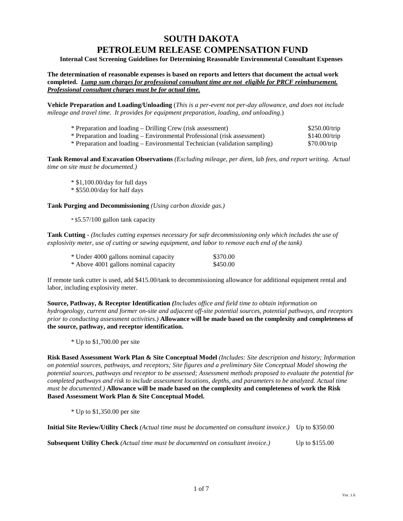# **SOUTH DAKOTA PETROLEUM RELEASE COMPENSATION FUND**

**Internal Cost Screening Guidelines for Determining Reasonable Environmental Consultant Expenses** 

**The determination of reasonable expenses is based on reports and letters that document the actual work completed.** *Lump sum charges for professional consultant time are not eligible for PRCF reimbursement. Professional consultant charges must be for actual time.*

**Vehicle Preparation and Loading/Unloading** (*This is a per-event not per-day allowance, and does not include mileage and travel time. It provides for equipment preparation, loading, and unloading*.)

| * Preparation and loading – Drilling Crew (risk assessment)                | \$250.00/trip |
|----------------------------------------------------------------------------|---------------|
| * Preparation and loading – Environmental Professional (risk assessment)   | \$140.00/trip |
| * Preparation and loading – Environmental Technician (validation sampling) | \$70.00/trip  |

**Tank Removal and Excavation Observations** *(Excluding mileage, per diem, lab fees, and report writing. Actual time on site must be documented.)*

\* \$1,100.00/day for full days

\* \$550.00/day for half days

**Tank Purging and Decommissioning** *(Using carbon dioxide gas.)* 

\* \$5.57/100 gallon tank capacity

**Tank Cutting -** *(Includes cutting expenses necessary for safe decommissioning only which includes the use of explosivity meter, use of cutting or sawing equipment, and labor to remove each end of the tank)* 

| * Under 4000 gallons nominal capacity | \$370.00 |
|---------------------------------------|----------|
| * Above 4001 gallons nominal capacity | \$450.00 |

If remote tank cutter is used, add \$415.00/tank to decommissioning allowance for additional equipment rental and labor, including explosivity meter.

**Source, Pathway, & Receptor Identification** *(Includes office and field time to obtain information on hydrogeology, current and former on-site and adjacent off-site potential sources, potential pathways, and receptors prior to conducting assessment activities.)* **Allowance will be made based on the complexity and completeness of the source, pathway, and receptor identification.**

\* Up to \$1,700.00 per site

**Risk Based Assessment Work Plan & Site Conceptual Model** *(Includes: Site description and history; Information on potential sources, pathways, and receptors; Site figures and a preliminary Site Conceptual Model showing the potential sources, pathways and receptor to be assessed; Assessment methods proposed to evaluate the potential for completed pathways and risk to include assessment locations, depths, and parameters to be analyzed. Actual time must be documented.)* **Allowance will be made based on the complexity and completeness of work the Risk Based Assessment Work Plan & Site Conceptual Model.**

\* Up to \$1,350.00 per site

| Initial Site Review/Utility Check (Actual time must be documented on consultant invoice.) Up to \$350.00 |  |
|----------------------------------------------------------------------------------------------------------|--|
|----------------------------------------------------------------------------------------------------------|--|

**Subsequent Utility Check** *(Actual time must be documented on consultant invoice.)* Up to \$155.00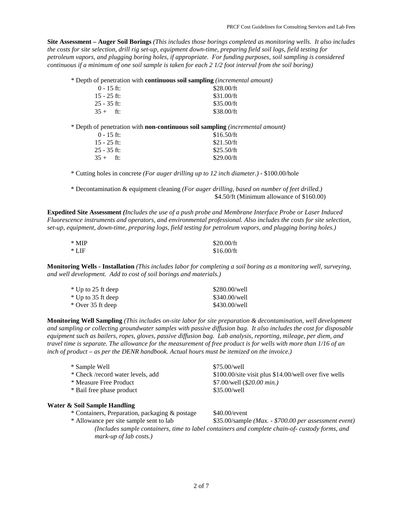**Site Assessment – Auger Soil Borings** *(This includes those borings completed as monitoring wells. It also includes the costs for site selection, drill rig set-up, equipment down-time, preparing field soil logs, field testing for petroleum vapors, and plugging boring holes, if appropriate. For funding purposes, soil sampling is considered continuous if a minimum of one soil sample is taken for each 2 1/2 foot interval from the soil boring)*

\* Depth of penetration with **continuous soil sampling** *(incremental amount)*

| $0 - 15$ ft:  | \$28.00/ft |
|---------------|------------|
| $15 - 25$ ft: | \$31.00/ft |
| $25 - 35$ ft: | \$35.00/ft |
| $35 +$ ft:    | \$38.00/ft |

\* Depth of penetration with **non-continuous soil sampling** *(incremental amount)*

| \$16.50/ft |
|------------|
| \$21.50/ft |
| \$25.50/ft |
| \$29.00/ft |
|            |

\* Cutting holes in concrete *(For auger drilling up to 12 inch diameter.)* - \$100.00/hole

\* Decontamination & equipment cleaning *(For auger drilling, based on number of feet drilled.)* \$4.50/ft (Minimum allowance of \$160.00)

**Expedited Site Assessment** *(Includes the use of a push probe and Membrane Interface Probe or Laser Induced Fluorescence instruments and operators, and environmental professional. Also includes the costs for site selection, set-up, equipment, down-time, preparing logs, field testing for petroleum vapors, and plugging boring holes.)*

| * MIP | \$20.00/ft |
|-------|------------|
| * LIF | \$16.00/ft |

**Monitoring Wells - Installation** *(This includes labor for completing a soil boring as a monitoring well, surveying, and well development. Add to cost of soil borings and materials.)*

| * Up to 25 ft deep | \$280.00/well |
|--------------------|---------------|
| * Up to 35 ft deep | \$340.00/well |
| * Over 35 ft deep  | \$430.00/well |

**Monitoring Well Sampling** *(This includes on-site labor for site preparation & decontamination, well development and sampling or collecting groundwater samples with passive diffusion bag. It also includes the cost for disposable equipment such as bailers, ropes, gloves, passive diffusion bag. Lab analysis, reporting, mileage, per diem, and travel time is separate. The allowance for the measurement of free product is for wells with more than 1/16 of an inch of product – as per the DENR handbook. Actual hours must be itemized on the invoice.)*

| * Sample Well                     | \$75.00/well                                          |
|-----------------------------------|-------------------------------------------------------|
| * Check /record water levels, add | \$100.00/site visit plus \$14.00/well over five wells |
| * Measure Free Product            | \$7.00/well (\$20.00 min.)                            |
| * Bail free phase product         | \$35.00/well                                          |
|                                   |                                                       |

# **Water & Soil Sample Handling**

\* Containers, Preparation, packaging & postage \$40.00/event

\* Allowance per site sample sent to lab \$35.00/sample *(Max. - \$700.00 per assessment event) (Includes sample containers, time to label containers and complete chain-of- custody forms, and mark-up of lab costs.)*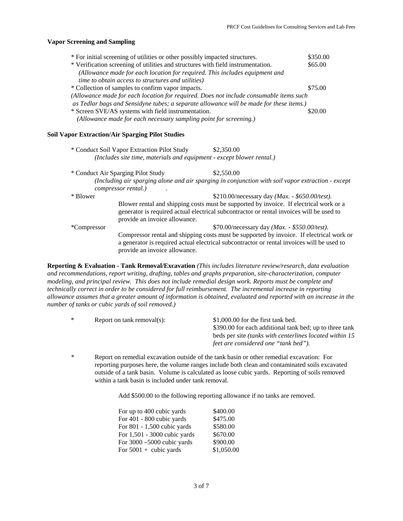#### **Vapor Screening and Sampling**

| * For initial screening of utilities or other possibly impacted structures.             | \$350.00 |
|-----------------------------------------------------------------------------------------|----------|
| * Verification screening of utilities and structures with field instrumentation.        | \$65.00  |
| (Allowance made for each location for required. This includes equipment and             |          |
| <i>time to obtain access to structures and utilities)</i>                               |          |
| * Collection of samples to confirm vapor impacts.                                       | \$75.00  |
| (Allowance made for each location for required. Does not include consumable items such  |          |
| as Tedlar bags and Sensidyne tubes; a separate allowance will be made for these items.) |          |
| * Screen SVE/AS systems with field instrumentation.                                     | \$20.00  |
| (Allowance made for each necessary sampling point for screening.)                       |          |

### **Soil Vapor Extraction/Air Sparging Pilot Studies**

|             | * Conduct Soil Vapor Extraction Pilot Study<br>(Includes site time, materials and equipment - except blower rental.) | \$2,350.00                                                                                                                                                                             |
|-------------|----------------------------------------------------------------------------------------------------------------------|----------------------------------------------------------------------------------------------------------------------------------------------------------------------------------------|
|             | * Conduct Air Sparging Pilot Study                                                                                   | \$2,550.00                                                                                                                                                                             |
|             | compressor rental.)                                                                                                  | (Including air sparging alone and air sparging in conjunction with soil vapor extraction - except                                                                                      |
| * Blower    |                                                                                                                      | \$210.00/necessary day ( <i>Max.</i> - \$650.00/test).                                                                                                                                 |
|             | provide an invoice allowance.                                                                                        | Blower rental and shipping costs must be supported by invoice. If electrical work or a<br>generator is required actual electrical subcontractor or rental invoices will be used to     |
| *Compressor |                                                                                                                      | \$70.00/necessary day ( <i>Max.</i> - \$550.00/test).                                                                                                                                  |
|             | provide an invoice allowance.                                                                                        | Compressor rental and shipping costs must be supported by invoice. If electrical work or<br>a generator is required actual electrical subcontractor or rental invoices will be used to |

**Reporting & Evaluation - Tank Removal/Excavation** *(This includes literature review/research, data evaluation and recommendations, report writing, drafting, tables and graphs preparation, site-characterization, computer modeling, and principal review. This does not include remedial design work. Reports must be complete and technically correct in order to be considered for full reimbursement. The incremental increase in reporting allowance assumes that a greater amount of information is obtained, evaluated and reported with an increase in the number of tanks or cubic yards of soil removed.)*

| $\ast$ | Report on tank removal(s): | \$1,000.00 for the first tank bed.                             |
|--------|----------------------------|----------------------------------------------------------------|
|        |                            | \$390.00 for each additional tank bed; up to three tank        |
|        |                            | beds per site <i>(tanks with centerlines located within 15</i> |
|        |                            | feet are considered one "tank bed").                           |

\* Report on remedial excavation outside of the tank basin or other remedial excavation: For reporting purposes here, the volume ranges include both clean and contaminated soils excavated outside of a tank basin. Volume is calculated as loose cubic yards. Reporting of soils removed within a tank basin is included under tank removal.

Add \$500.00 to the following reporting allowance if no tanks are removed.

| For up to 400 cubic yards    | \$400.00   |
|------------------------------|------------|
| For 401 - 800 cubic yards    | \$475.00   |
| For 801 - 1,500 cubic yards  | \$580.00   |
| For 1,501 - 3000 cubic yards | \$670.00   |
| For 3000 -5000 cubic yards   | \$900.00   |
| For $5001 +$ cubic yards     | \$1,050.00 |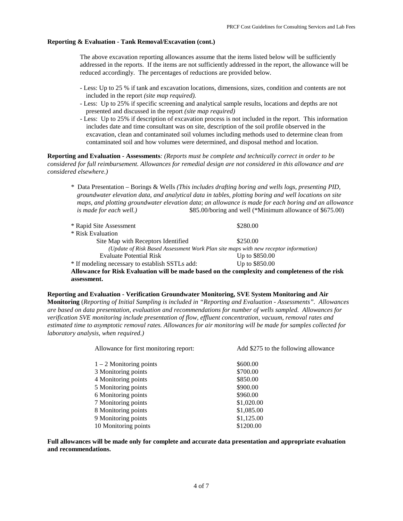### **Reporting & Evaluation - Tank Removal/Excavation (cont.)**

The above excavation reporting allowances assume that the items listed below will be sufficiently addressed in the reports. If the items are not sufficiently addressed in the report, the allowance will be reduced accordingly. The percentages of reductions are provided below.

- Less: Up to 25 % if tank and excavation locations, dimensions, sizes, condition and contents are not included in the report *(site map required).*
- Less: Up to 25% if specific screening and analytical sample results, locations and depths are not presented and discussed in the report *(site map required)*
- Less: Up to 25% if description of excavation process is not included in the report. This information includes date and time consultant was on site, description of the soil profile observed in the excavation, clean and contaminated soil volumes including methods used to determine clean from contaminated soil and how volumes were determined, and disposal method and location.

**Reporting and Evaluation - Assessments***: (Reports must be complete and technically correct in order to be considered for full reimbursement. Allowances for remedial design are not considered in this allowance and are considered elsewhere.)*

\* Data Presentation – Borings & Wells *(This includes drafting boring and wells logs, presenting PID, groundwater elevation data, and analytical data in tables, plotting boring and well locations on site maps, and plotting groundwater elevation data*; *an allowance is made for each boring and an allowance is made for each well.*) \$85.00/boring and well (\*Minimum allowance of \$675.00)

| * Rapid Site Assessment                                                                         | \$280.00       |  |
|-------------------------------------------------------------------------------------------------|----------------|--|
| * Risk Evaluation                                                                               |                |  |
| Site Map with Receptors Identified                                                              | \$250.00       |  |
| (Update of Risk Based Assessment Work Plan site maps with new receptor information)             |                |  |
| Evaluate Potential Risk                                                                         | Up to \$850.00 |  |
| * If modeling necessary to establish SSTLs add:                                                 | Up to \$850.00 |  |
| Allowance for Risk Evaluation will be made based on the complexity and completeness of the risk |                |  |
| assessment.                                                                                     |                |  |

# **Reporting and Evaluation - Verification Groundwater Monitoring, SVE System Monitoring and Air Monitoring** (*Reporting of Initial Sampling is included in "Reporting and Evaluation - Assessments". Allowances are based on data presentation, evaluation and recommendations for number of wells sampled. Allowances for verification SVE monitoring include presentation of flow, effluent concentration, vacuum, removal rates and estimated time to asymptotic removal rates. Allowances for air monitoring will be made for samples collected for laboratory analysis, when required.)*

| Allowance for first monitoring report: | Add \$275 to the following allowance |
|----------------------------------------|--------------------------------------|
| $1 - 2$ Monitoring points              | \$600.00                             |
| 3 Monitoring points                    | \$700.00                             |
| 4 Monitoring points                    | \$850.00                             |
| 5 Monitoring points                    | \$900.00                             |
| 6 Monitoring points                    | \$960.00                             |
| 7 Monitoring points                    | \$1,020.00                           |
| 8 Monitoring points                    | \$1,085.00                           |
| 9 Monitoring points                    | \$1,125.00                           |
| 10 Monitoring points                   | \$1200.00                            |

**Full allowances will be made only for complete and accurate data presentation and appropriate evaluation and recommendations.**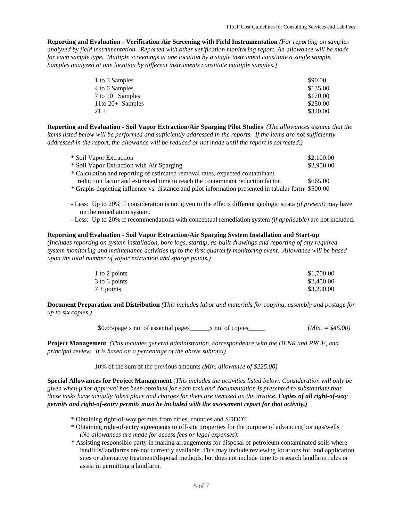**Reporting and Evaluation - Verification Air Screening with Field Instrumentation** *(For reporting on samples analyzed by field instrumentation. Reported with other verification monitoring report. An allowance will be made for each sample type. Multiple screenings at one location by a single instrument constitute a single sample. Samples analyzed at one location by different instruments constitute multiple samples.)*

| 1 to 3 Samples     | \$90.00  |
|--------------------|----------|
| 4 to 6 Samples     | \$135.00 |
| 7 to 10 Samples    | \$170.00 |
| 11to $20+$ Samples | \$250.00 |
| $21+$              | \$320.00 |

**Reporting and Evaluation - Soil Vapor Extraction/Air Sparging Pilot Studies** *(The allowances assume that the items listed below will be performed and sufficiently addressed in the reports. If the items are not sufficiently addressed in the report, the allowance will be reduced or not made until the report is corrected.)* 

| * Soil Vapor Extraction                                                                            | \$2,100.00 |
|----------------------------------------------------------------------------------------------------|------------|
| * Soil Vapor Extraction with Air Sparging                                                          | \$2,950.00 |
| * Calculation and reporting of estimated removal rates, expected contaminant                       |            |
| reduction factor and estimated time to reach the contaminant reduction factor.                     | \$665.00   |
| * Graphs depicting influence vs. distance and pilot information presented in tabular form \$500.00 |            |

- Less: Up to 20% if consideration is not given to the effects different geologic strata *(if present)* may have on the remediation system.
- Less: Up to 20% if recommendations with conceptual remediation system *(if applicable)* are not included.

# **Reporting and Evaluation - Soil Vapor Extraction/Air Sparging System Installation and Start-up**

*(Includes reporting on system installation, bore logs, startup, as-built drawings and reporting of any required system monitoring and maintenance activities up to the first quarterly monitoring event. Allowance will be based upon the total number of vapor extraction and sparge points.)* 

| 1 to 2 points       | \$1,700.00 |
|---------------------|------------|
| 3 to 6 points       | \$2,450.00 |
| $7 + \text{points}$ | \$3,200.00 |

**Document Preparation and Distribution** *(This includes labor and materials for copying, assembly and postage for up to six copies.)*

\$0.65/page x no. of essential pages\_\_\_\_\_\_x no. of copies\_\_\_\_\_ (*Min. = \$45.00)*

**Project Management** *(This includes general administration, correspondence with the DENR and PRCF, and principal review. It is based on a percentage of the above subtotal)*

10% of the sum of the previous amounts *(Min. allowance of \$225.00)*

**Special Allowances for Project Management** (*This includes the activities listed below. Consideration will only be given when prior approval has been obtained for each task and documentation is presented to substantiate that these tasks have actually taken place and charges for them are itemized on the invoice. Copies of all right-of-way permits and right-of-entry permits must be included with the assessment report for that activity.)*

- \* Obtaining right-of-way permits from cities, counties and SDDOT.
- \* Obtaining right-of-entry agreements to off-site properties for the purpose of advancing borings/wells *(No allowances are made for access fees or legal expenses).*
- *\** Assisting responsible party in making arrangements for disposal of petroleum contaminated soils where landfills/landfarms are not currently available. This may include reviewing locations for land application sites or alternative treatment/disposal methods, but does not include time to research landfarm rules or assist in permitting a landfarm.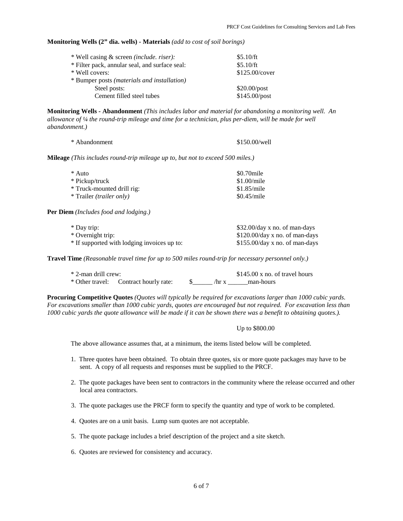**Monitoring Wells (2" dia. wells) - Materials** *(add to cost of soil borings)*

| * Well casing & screen (include. riser):             | \$5.10/ft      |  |
|------------------------------------------------------|----------------|--|
| * Filter pack, annular seal, and surface seal:       | \$5.10/ft      |  |
| * Well covers:                                       | \$125.00/cover |  |
| * Bumper posts ( <i>materials and installation</i> ) |                |  |
| Steel posts:                                         | $$20.00$ /post |  |
| Cement filled steel tubes                            | \$145.00/post  |  |

**Monitoring Wells - Abandonment** *(This includes labor and material for abandoning a monitoring well. An allowance of ¼ the round-trip mileage and time for a technician, plus per-diem, will be made for well abandonment.)*

| * Abandonment | \$150.00/well |
|---------------|---------------|
|---------------|---------------|

**Mileage** *(This includes round-trip mileage up to, but not to exceed 500 miles.)*

| * Auto                          | \$0.70mile  |
|---------------------------------|-------------|
| * Pickup/truck                  | \$1.00/mile |
| * Truck-mounted drill rig:      | \$1.85/mile |
| * Trailer <i>(trailer only)</i> | \$0.45/mile |
|                                 |             |

**Per Diem** *(Includes food and lodging.)*

| * Day trip:                                 | \$32.00/day x no. of man-days    |
|---------------------------------------------|----------------------------------|
| * Overnight trip:                           | \$120.00/day x no. of man-days   |
| * If supported with lodging invoices up to: | $$155.00$ /day x no. of man-days |

**Travel Time** *(Reasonable travel time for up to 500 miles round-trip for necessary personnel only.)*

| * 2-man drill crew: |                                       |  | $$145.00 \times$ no. of travel hours |  |
|---------------------|---------------------------------------|--|--------------------------------------|--|
|                     | * Other travel: Contract hourly rate: |  | $\pi$ x man-hours                    |  |

**Procuring Competitive Quotes** *(Quotes will typically be required for excavations larger than 1000 cubic yards. For excavations smaller than 1000 cubic yards, quotes are encouraged but not required. For excavation less than 1000 cubic yards the quote allowance will be made if it can be shown there was a benefit to obtaining quotes.).* 

#### Up to \$800.00

The above allowance assumes that, at a minimum, the items listed below will be completed.

- 1. Three quotes have been obtained. To obtain three quotes, six or more quote packages may have to be sent. A copy of all requests and responses must be supplied to the PRCF.
- 2. The quote packages have been sent to contractors in the community where the release occurred and other local area contractors.
- 3. The quote packages use the PRCF form to specify the quantity and type of work to be completed.
- 4. Quotes are on a unit basis. Lump sum quotes are not acceptable.
- 5. The quote package includes a brief description of the project and a site sketch.
- 6. Quotes are reviewed for consistency and accuracy.